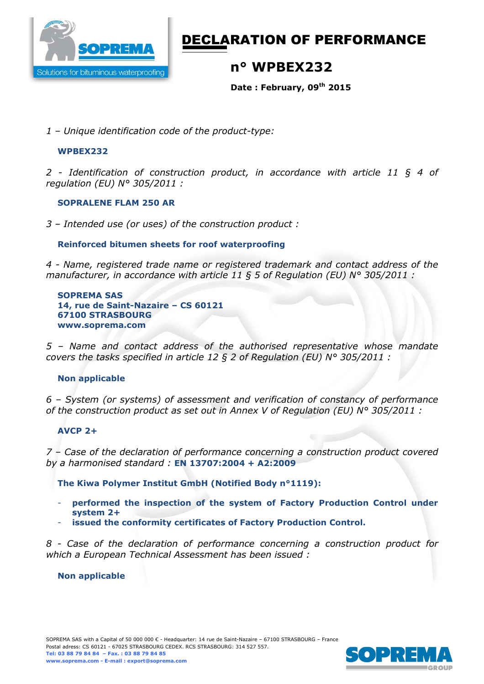

# DECLARATION OF PERFORMANCE

# **n° WPBEX232**

**Date : February, 09th 2015** 

*1 – Unique identification code of the product-type:*

#### **WPBEX232**

*2 - Identification of construction product, in accordance with article 11 § 4 of regulation (EU) N° 305/2011 :* 

#### **SOPRALENE FLAM 250 AR**

*3 – Intended use (or uses) of the construction product :* 

### **Reinforced bitumen sheets for roof waterproofing**

*4 - Name, registered trade name or registered trademark and contact address of the manufacturer, in accordance with article 11 § 5 of Regulation (EU) N° 305/2011 :* 

**SOPREMA SAS 14, rue de Saint-Nazaire – CS 60121 67100 STRASBOURG www.soprema.com** 

*5 – Name and contact address of the authorised representative whose mandate covers the tasks specified in article 12 § 2 of Regulation (EU) N° 305/2011 :* 

#### **Non applicable**

*6 – System (or systems) of assessment and verification of constancy of performance of the construction product as set out in Annex V of Regulation (EU) N° 305/2011 :* 

#### **AVCP 2+**

*7 – Case of the declaration of performance concerning a construction product covered by a harmonised standard :* **EN 13707:2004 + A2:2009** 

**The Kiwa Polymer Institut GmbH (Notified Body n°1119):** 

- **performed the inspection of the system of Factory Production Control under system 2+**
- **issued the conformity certificates of Factory Production Control.**

*8 - Case of the declaration of performance concerning a construction product for which a European Technical Assessment has been issued :* 

#### **Non applicable**